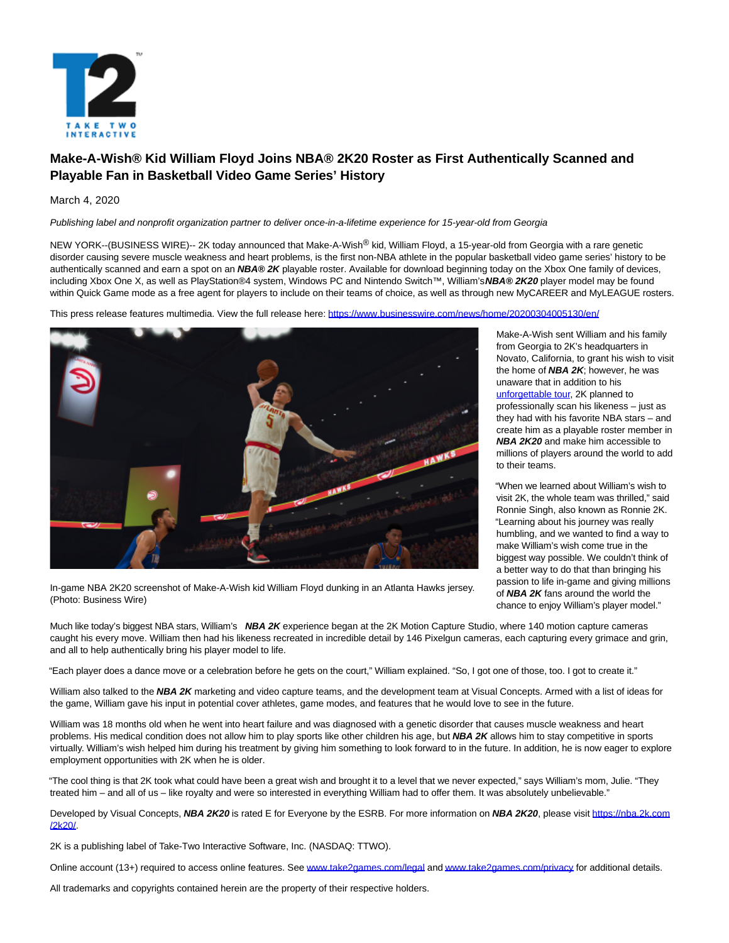

# **Make-A-Wish® Kid William Floyd Joins NBA® 2K20 Roster as First Authentically Scanned and Playable Fan in Basketball Video Game Series' History**

## March 4, 2020

Publishing label and nonprofit organization partner to deliver once-in-a-lifetime experience for 15-year-old from Georgia

NEW YORK--(BUSINESS WIRE)-- 2K today announced that Make-A-Wish<sup>®</sup> kid, William Floyd, a 15-year-old from Georgia with a rare genetic disorder causing severe muscle weakness and heart problems, is the first non-NBA athlete in the popular basketball video game series' history to be authentically scanned and earn a spot on an **NBA® 2K** playable roster. Available for download beginning today on the Xbox One family of devices, including Xbox One X, as well as PlayStation®4 system, Windows PC and Nintendo Switch™, William's **NBA® 2K20** player model may be found within Quick Game mode as a free agent for players to include on their teams of choice, as well as through new MyCAREER and MyLEAGUE rosters.

This press release features multimedia. View the full release here:<https://www.businesswire.com/news/home/20200304005130/en/>



In-game NBA 2K20 screenshot of Make-A-Wish kid William Floyd dunking in an Atlanta Hawks jersey. (Photo: Business Wire)

Make-A-Wish sent William and his family from Georgia to 2K's headquarters in Novato, California, to grant his wish to visit the home of **NBA 2K**; however, he was unaware that in addition to his [unforgettable tour,](https://cts.businesswire.com/ct/CT?id=smartlink&url=https%3A%2F%2Fyoutu.be%2FlvtwZy3KyGU&esheet=52183681&newsitemid=20200304005130&lan=en-US&anchor=unforgettable+tour&index=1&md5=17fed513ccdf831724dbfc1f1000afa5) 2K planned to professionally scan his likeness – just as they had with his favorite NBA stars – and create him as a playable roster member in **NBA 2K20** and make him accessible to millions of players around the world to add to their teams.

"When we learned about William's wish to visit 2K, the whole team was thrilled," said Ronnie Singh, also known as Ronnie 2K. "Learning about his journey was really humbling, and we wanted to find a way to make William's wish come true in the biggest way possible. We couldn't think of a better way to do that than bringing his passion to life in-game and giving millions of **NBA 2K** fans around the world the chance to enjoy William's player model."

Much like today's biggest NBA stars, William's **NBA 2K** experience began at the 2K Motion Capture Studio, where 140 motion capture cameras caught his every move. William then had his likeness recreated in incredible detail by 146 Pixelgun cameras, each capturing every grimace and grin, and all to help authentically bring his player model to life.

"Each player does a dance move or a celebration before he gets on the court," William explained. "So, I got one of those, too. I got to create it."

William also talked to the **NBA 2K** marketing and video capture teams, and the development team at Visual Concepts. Armed with a list of ideas for the game, William gave his input in potential cover athletes, game modes, and features that he would love to see in the future.

William was 18 months old when he went into heart failure and was diagnosed with a genetic disorder that causes muscle weakness and heart problems. His medical condition does not allow him to play sports like other children his age, but **NBA 2K** allows him to stay competitive in sports virtually. William's wish helped him during his treatment by giving him something to look forward to in the future. In addition, he is now eager to explore employment opportunities with 2K when he is older.

"The cool thing is that 2K took what could have been a great wish and brought it to a level that we never expected," says William's mom, Julie. "They treated him – and all of us – like royalty and were so interested in everything William had to offer them. It was absolutely unbelievable."

Developed by Visual Concepts, NBA 2K20 is rated E for Everyone by the ESRB. For more information on NBA 2K20, please visit [https://nba.2k.com](https://cts.businesswire.com/ct/CT?id=smartlink&url=https%3A%2F%2Fnba.2k.com%2F2k20%2F&esheet=52183681&newsitemid=20200304005130&lan=en-US&anchor=https%3A%2F%2Fnba.2k.com%2F2k20%2F&index=2&md5=0e4fcc4dc25b130da92ff09fb512ac6f) /2k20/.

2K is a publishing label of Take-Two Interactive Software, Inc. (NASDAQ: TTWO).

Online account (13+) required to access online features. See [www.take2games.com/legal a](https://cts.businesswire.com/ct/CT?id=smartlink&url=http%3A%2F%2Fwww.take2games.com%2Flegal&esheet=52183681&newsitemid=20200304005130&lan=en-US&anchor=www.take2games.com%2Flegal&index=3&md5=9b18a512bf42a385f4b3d43f1bbe0e83)n[d www.take2games.com/privacy f](https://cts.businesswire.com/ct/CT?id=smartlink&url=http%3A%2F%2Fwww.take2games.com%2Fprivacy&esheet=52183681&newsitemid=20200304005130&lan=en-US&anchor=www.take2games.com%2Fprivacy&index=4&md5=34394b75a5f4db171302a8d7d9be5155)or additional details.

All trademarks and copyrights contained herein are the property of their respective holders.